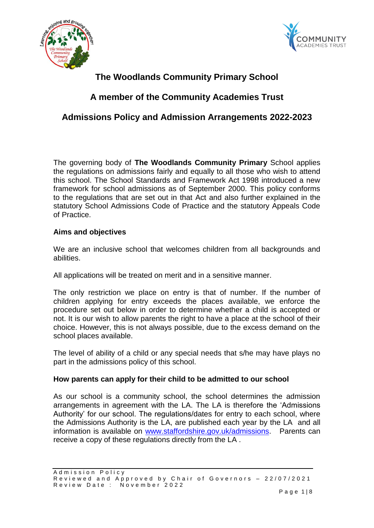



# **The Woodlands Community Primary School**

# **A member of the Community Academies Trust**

# **Admissions Policy and Admission Arrangements 2022-2023**

The governing body of **The Woodlands Community Primary** School applies the regulations on admissions fairly and equally to all those who wish to attend this school. The School Standards and Framework Act 1998 introduced a new framework for school admissions as of September 2000. This policy conforms to the regulations that are set out in that Act and also further explained in the statutory School Admissions Code of Practice and the statutory Appeals Code of Practice.

## **Aims and objectives**

We are an inclusive school that welcomes children from all backgrounds and abilities.

All applications will be treated on merit and in a sensitive manner.

The only restriction we place on entry is that of number. If the number of children applying for entry exceeds the places available, we enforce the procedure set out below in order to determine whether a child is accepted or not. It is our wish to allow parents the right to have a place at the school of their choice. However, this is not always possible, due to the excess demand on the school places available.

The level of ability of a child or any special needs that s/he may have plays no part in the admissions policy of this school.

### **How parents can apply for their child to be admitted to our school**

As our school is a community school, the school determines the admission arrangements in agreement with the LA. The LA is therefore the 'Admissions Authority' for our school. The regulations/dates for entry to each school, where the Admissions Authority is the LA, are published each year by the LA and all information is available on [www.staffordshire.gov.uk/admissions.](http://www.staffordshire.gov.uk/admissions) Parents can receive a copy of these regulations directly from the LA .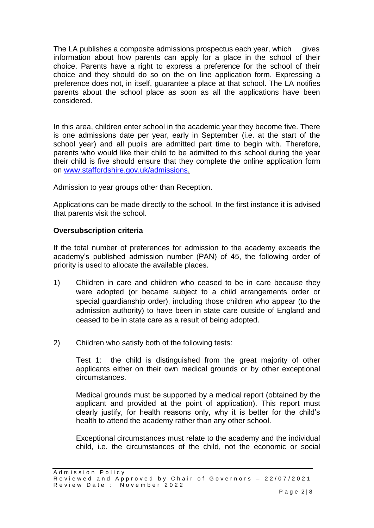The LA publishes a composite admissions prospectus each year, which gives information about how parents can apply for a place in the school of their choice. Parents have a right to express a preference for the school of their choice and they should do so on the on line application form. Expressing a preference does not, in itself, guarantee a place at that school. The LA notifies parents about the school place as soon as all the applications have been considered.

In this area, children enter school in the academic year they become five. There is one admissions date per year, early in September (i.e. at the start of the school year) and all pupils are admitted part time to begin with. Therefore, parents who would like their child to be admitted to this school during the year their child is five should ensure that they complete the online application form on [www.staffordshire.gov.uk/admissions.](http://www.staffordshire.gov.uk/admissions)

Admission to year groups other than Reception.

Applications can be made directly to the school. In the first instance it is advised that parents visit the school.

## **Oversubscription criteria**

If the total number of preferences for admission to the academy exceeds the academy's published admission number (PAN) of 45, the following order of priority is used to allocate the available places.

- 1) Children in care and children who ceased to be in care because they were adopted (or became subject to a child arrangements order or special guardianship order), including those children who appear (to the admission authority) to have been in state care outside of England and ceased to be in state care as a result of being adopted.
- 2) Children who satisfy both of the following tests:

Test 1: the child is distinguished from the great majority of other applicants either on their own medical grounds or by other exceptional circumstances.

Medical grounds must be supported by a medical report (obtained by the applicant and provided at the point of application). This report must clearly justify, for health reasons only, why it is better for the child's health to attend the academy rather than any other school.

Exceptional circumstances must relate to the academy and the individual child, i.e. the circumstances of the child, not the economic or social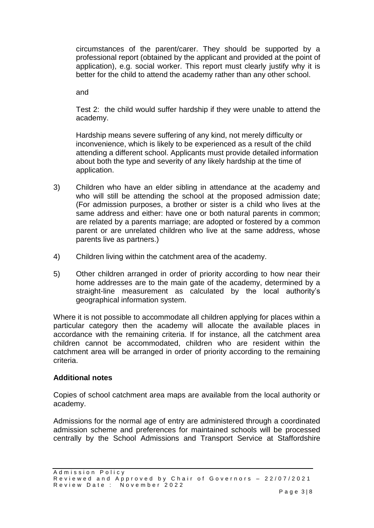circumstances of the parent/carer. They should be supported by a professional report (obtained by the applicant and provided at the point of application), e.g. social worker. This report must clearly justify why it is better for the child to attend the academy rather than any other school.

and

Test 2: the child would suffer hardship if they were unable to attend the academy.

Hardship means severe suffering of any kind, not merely difficulty or inconvenience, which is likely to be experienced as a result of the child attending a different school. Applicants must provide detailed information about both the type and severity of any likely hardship at the time of application.

- 3) Children who have an elder sibling in attendance at the academy and who will still be attending the school at the proposed admission date; (For admission purposes, a brother or sister is a child who lives at the same address and either: have one or both natural parents in common; are related by a parents marriage; are adopted or fostered by a common parent or are unrelated children who live at the same address, whose parents live as partners.)
- 4) Children living within the catchment area of the academy.
- 5) Other children arranged in order of priority according to how near their home addresses are to the main gate of the academy, determined by a straight-line measurement as calculated by the local authority's geographical information system.

Where it is not possible to accommodate all children applying for places within a particular category then the academy will allocate the available places in accordance with the remaining criteria. If for instance, all the catchment area children cannot be accommodated, children who are resident within the catchment area will be arranged in order of priority according to the remaining criteria.

## **Additional notes**

Copies of school catchment area maps are available from the local authority or academy.

Admissions for the normal age of entry are administered through a coordinated admission scheme and preferences for maintained schools will be processed centrally by the School Admissions and Transport Service at Staffordshire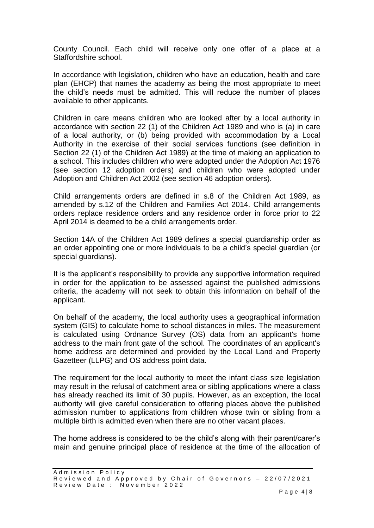County Council. Each child will receive only one offer of a place at a Staffordshire school.

In accordance with legislation, children who have an education, health and care plan (EHCP) that names the academy as being the most appropriate to meet the child's needs must be admitted. This will reduce the number of places available to other applicants.

Children in care means children who are looked after by a local authority in accordance with section 22 (1) of the Children Act 1989 and who is (a) in care of a local authority, or (b) being provided with accommodation by a Local Authority in the exercise of their social services functions (see definition in Section 22 (1) of the Children Act 1989) at the time of making an application to a school. This includes children who were adopted under the Adoption Act 1976 (see section 12 adoption orders) and children who were adopted under Adoption and Children Act 2002 (see section 46 adoption orders).

Child arrangements orders are defined in s.8 of the Children Act 1989, as amended by s.12 of the Children and Families Act 2014. Child arrangements orders replace residence orders and any residence order in force prior to 22 April 2014 is deemed to be a child arrangements order.

Section 14A of the Children Act 1989 defines a special guardianship order as an order appointing one or more individuals to be a child's special guardian (or special guardians).

It is the applicant's responsibility to provide any supportive information required in order for the application to be assessed against the published admissions criteria, the academy will not seek to obtain this information on behalf of the applicant.

On behalf of the academy, the local authority uses a geographical information system (GIS) to calculate home to school distances in miles. The measurement is calculated using Ordnance Survey (OS) data from an applicant's home address to the main front gate of the school. The coordinates of an applicant's home address are determined and provided by the Local Land and Property Gazetteer (LLPG) and OS address point data.

The requirement for the local authority to meet the infant class size legislation may result in the refusal of catchment area or sibling applications where a class has already reached its limit of 30 pupils. However, as an exception, the local authority will give careful consideration to offering places above the published admission number to applications from children whose twin or sibling from a multiple birth is admitted even when there are no other vacant places.

The home address is considered to be the child's along with their parent/carer's main and genuine principal place of residence at the time of the allocation of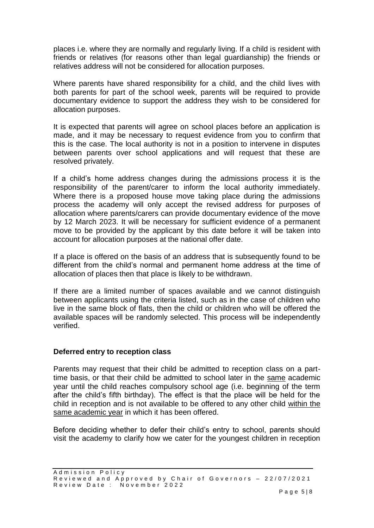places i.e. where they are normally and regularly living. If a child is resident with friends or relatives (for reasons other than legal guardianship) the friends or relatives address will not be considered for allocation purposes.

Where parents have shared responsibility for a child, and the child lives with both parents for part of the school week, parents will be required to provide documentary evidence to support the address they wish to be considered for allocation purposes.

It is expected that parents will agree on school places before an application is made, and it may be necessary to request evidence from you to confirm that this is the case. The local authority is not in a position to intervene in disputes between parents over school applications and will request that these are resolved privately.

If a child's home address changes during the admissions process it is the responsibility of the parent/carer to inform the local authority immediately. Where there is a proposed house move taking place during the admissions process the academy will only accept the revised address for purposes of allocation where parents/carers can provide documentary evidence of the move by 12 March 2023. It will be necessary for sufficient evidence of a permanent move to be provided by the applicant by this date before it will be taken into account for allocation purposes at the national offer date.

If a place is offered on the basis of an address that is subsequently found to be different from the child's normal and permanent home address at the time of allocation of places then that place is likely to be withdrawn.

If there are a limited number of spaces available and we cannot distinguish between applicants using the criteria listed, such as in the case of children who live in the same block of flats, then the child or children who will be offered the available spaces will be randomly selected. This process will be independently verified.

### **Deferred entry to reception class**

Parents may request that their child be admitted to reception class on a parttime basis, or that their child be admitted to school later in the same academic year until the child reaches compulsory school age (i.e. beginning of the term after the child's fifth birthday). The effect is that the place will be held for the child in reception and is not available to be offered to any other child within the same academic year in which it has been offered.

Before deciding whether to defer their child's entry to school, parents should visit the academy to clarify how we cater for the youngest children in reception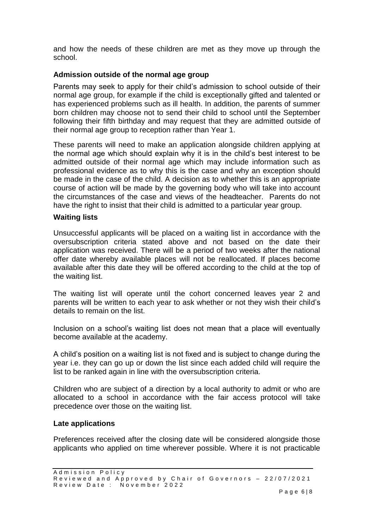and how the needs of these children are met as they move up through the school.

## **Admission outside of the normal age group**

Parents may seek to apply for their child's admission to school outside of their normal age group, for example if the child is exceptionally gifted and talented or has experienced problems such as ill health. In addition, the parents of summer born children may choose not to send their child to school until the September following their fifth birthday and may request that they are admitted outside of their normal age group to reception rather than Year 1.

These parents will need to make an application alongside children applying at the normal age which should explain why it is in the child's best interest to be admitted outside of their normal age which may include information such as professional evidence as to why this is the case and why an exception should be made in the case of the child. A decision as to whether this is an appropriate course of action will be made by the governing body who will take into account the circumstances of the case and views of the headteacher. Parents do not have the right to insist that their child is admitted to a particular year group.

### **Waiting lists**

Unsuccessful applicants will be placed on a waiting list in accordance with the oversubscription criteria stated above and not based on the date their application was received. There will be a period of two weeks after the national offer date whereby available places will not be reallocated. If places become available after this date they will be offered according to the child at the top of the waiting list.

The waiting list will operate until the cohort concerned leaves year 2 and parents will be written to each year to ask whether or not they wish their child's details to remain on the list.

Inclusion on a school's waiting list does not mean that a place will eventually become available at the academy.

A child's position on a waiting list is not fixed and is subject to change during the year i.e. they can go up or down the list since each added child will require the list to be ranked again in line with the oversubscription criteria.

Children who are subject of a direction by a local authority to admit or who are allocated to a school in accordance with the fair access protocol will take precedence over those on the waiting list.

### **Late applications**

Preferences received after the closing date will be considered alongside those applicants who applied on time wherever possible. Where it is not practicable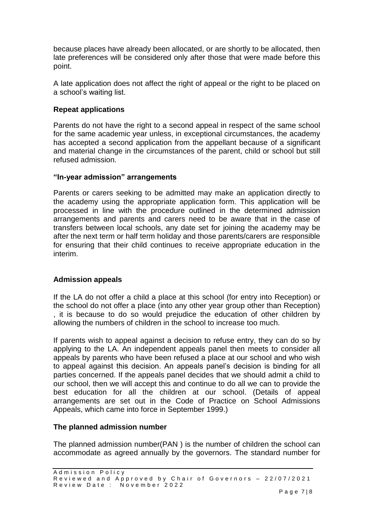because places have already been allocated, or are shortly to be allocated, then late preferences will be considered only after those that were made before this point.

A late application does not affect the right of appeal or the right to be placed on a school's waiting list.

## **Repeat applications**

Parents do not have the right to a second appeal in respect of the same school for the same academic year unless, in exceptional circumstances, the academy has accepted a second application from the appellant because of a significant and material change in the circumstances of the parent, child or school but still refused admission.

#### **"In-year admission" arrangements**

Parents or carers seeking to be admitted may make an application directly to the academy using the appropriate application form. This application will be processed in line with the procedure outlined in the determined admission arrangements and parents and carers need to be aware that in the case of transfers between local schools, any date set for joining the academy may be after the next term or half term holiday and those parents/carers are responsible for ensuring that their child continues to receive appropriate education in the interim.

### **Admission appeals**

If the LA do not offer a child a place at this school (for entry into Reception) or the school do not offer a place (into any other year group other than Reception) , it is because to do so would prejudice the education of other children by allowing the numbers of children in the school to increase too much.

If parents wish to appeal against a decision to refuse entry, they can do so by applying to the LA. An independent appeals panel then meets to consider all appeals by parents who have been refused a place at our school and who wish to appeal against this decision. An appeals panel's decision is binding for all parties concerned. If the appeals panel decides that we should admit a child to our school, then we will accept this and continue to do all we can to provide the best education for all the children at our school. (Details of appeal arrangements are set out in the Code of Practice on School Admissions Appeals, which came into force in September 1999.)

### **The planned admission number**

The planned admission number(PAN ) is the number of children the school can accommodate as agreed annually by the governors. The standard number for